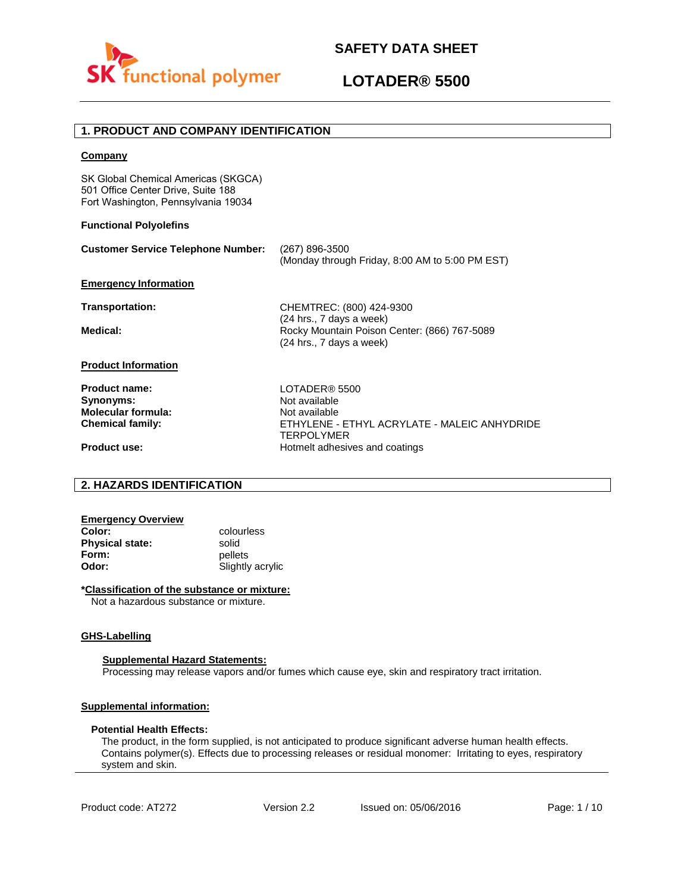



## **1. PRODUCT AND COMPANY IDENTIFICATION**

### **Company**

SK Global Chemical Americas (SKGCA) 501 Office Center Drive, Suite 188 Fort Washington, Pennsylvania 19034

### **Functional Polyolefins**

| <b>Customer Service Telephone Number:</b> | (267) 896-3500<br>(Monday through Friday, 8:00 AM to 5:00 PM EST)                                    |
|-------------------------------------------|------------------------------------------------------------------------------------------------------|
| <b>Emergency Information</b>              |                                                                                                      |
| <b>Transportation:</b>                    | CHEMTREC: (800) 424-9300                                                                             |
| Medical:                                  | (24 hrs., 7 days a week)<br>Rocky Mountain Poison Center: (866) 767-5089<br>(24 hrs., 7 days a week) |
| <b>Product Information</b>                |                                                                                                      |
| Product name:                             | LOTADER® 5500                                                                                        |
| Synonyms:                                 | Not available                                                                                        |
| <b>Molecular formula:</b>                 | Not available                                                                                        |
| <b>Chemical family:</b>                   | ETHYLENE - ETHYL ACRYLATE - MALEIC ANHYDRIDE<br><b>TERPOLYMER</b>                                    |
| <b>Product use:</b>                       | Hotmelt adhesives and coatings                                                                       |

## **2. HAZARDS IDENTIFICATION**

| <b>Emergency Overview</b> |                  |
|---------------------------|------------------|
| Color:                    | colourless       |
| <b>Physical state:</b>    | solid            |
| Form:                     | pellets          |
| Odor:                     | Slightly acrylic |

### **\*Classification of the substance or mixture:**

Not a hazardous substance or mixture.

### **GHS-Labelling**

#### **Supplemental Hazard Statements:**

Processing may release vapors and/or fumes which cause eye, skin and respiratory tract irritation.

### **Supplemental information:**

#### **Potential Health Effects:**

The product, in the form supplied, is not anticipated to produce significant adverse human health effects. Contains polymer(s). Effects due to processing releases or residual monomer: Irritating to eyes, respiratory system and skin.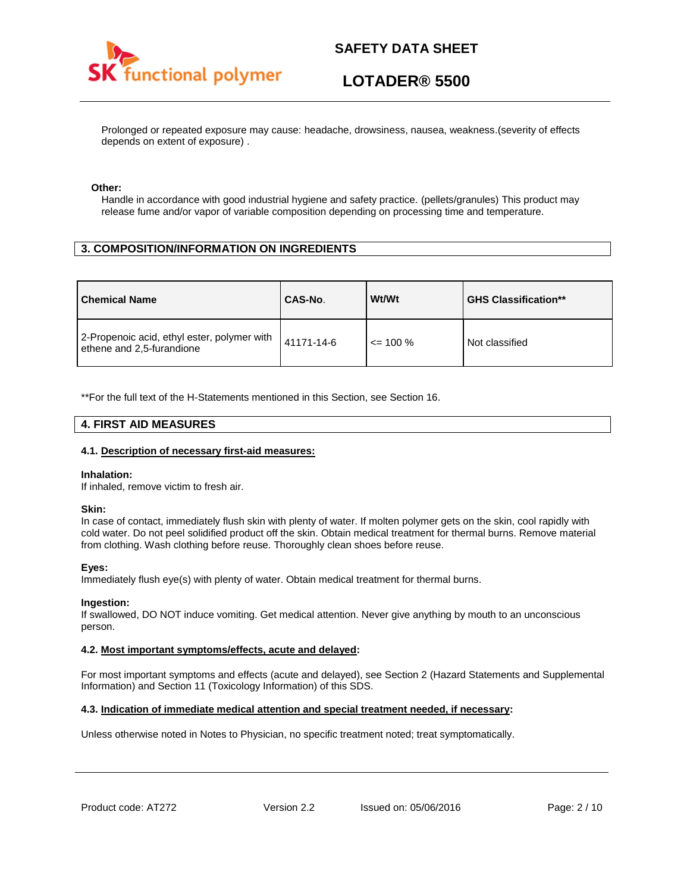

# **LOTADER® 5500**

Prolonged or repeated exposure may cause: headache, drowsiness, nausea, weakness.(severity of effects depends on extent of exposure) .

### **Other:**

Handle in accordance with good industrial hygiene and safety practice. (pellets/granules) This product may release fume and/or vapor of variable composition depending on processing time and temperature.

## **3. COMPOSITION/INFORMATION ON INGREDIENTS**

| <b>Chemical Name</b>                                                     | CAS-No.    | Wt/Wt        | <b>GHS Classification**</b> |
|--------------------------------------------------------------------------|------------|--------------|-----------------------------|
| 2-Propenoic acid, ethyl ester, polymer with<br>ethene and 2,5-furandione | 41171-14-6 | $\leq$ 100 % | Not classified              |

\*\*For the full text of the H-Statements mentioned in this Section, see Section 16.

### **4. FIRST AID MEASURES**

### **4.1. Description of necessary first-aid measures:**

#### **Inhalation:**

If inhaled, remove victim to fresh air.

#### **Skin:**

In case of contact, immediately flush skin with plenty of water. If molten polymer gets on the skin, cool rapidly with cold water. Do not peel solidified product off the skin. Obtain medical treatment for thermal burns. Remove material from clothing. Wash clothing before reuse. Thoroughly clean shoes before reuse.

### **Eyes:**

Immediately flush eye(s) with plenty of water. Obtain medical treatment for thermal burns.

#### **Ingestion:**

If swallowed, DO NOT induce vomiting. Get medical attention. Never give anything by mouth to an unconscious person.

### **4.2. Most important symptoms/effects, acute and delayed:**

For most important symptoms and effects (acute and delayed), see Section 2 (Hazard Statements and Supplemental Information) and Section 11 (Toxicology Information) of this SDS.

### **4.3. Indication of immediate medical attention and special treatment needed, if necessary:**

Unless otherwise noted in Notes to Physician, no specific treatment noted; treat symptomatically.

Product code: AT272 Version 2.2 Issued on: 05/06/2016 Page: 2/10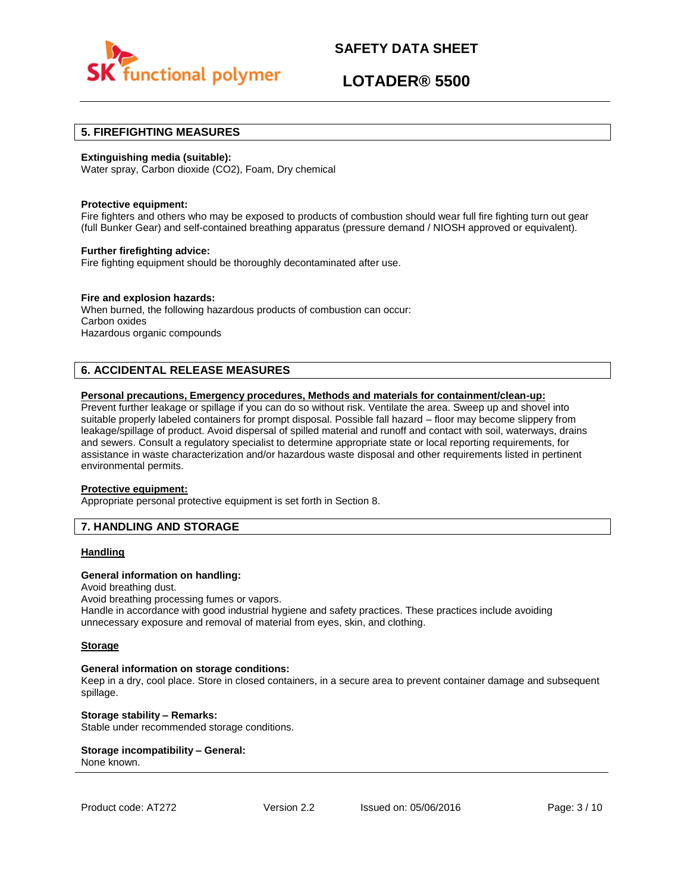

# **LOTADER® 5500**

### **5. FIREFIGHTING MEASURES**

### **Extinguishing media (suitable):**

Water spray, Carbon dioxide (CO2), Foam, Dry chemical

#### **Protective equipment:**

Fire fighters and others who may be exposed to products of combustion should wear full fire fighting turn out gear (full Bunker Gear) and self-contained breathing apparatus (pressure demand / NIOSH approved or equivalent).

### **Further firefighting advice:**

Fire fighting equipment should be thoroughly decontaminated after use.

### **Fire and explosion hazards:**

When burned, the following hazardous products of combustion can occur: Carbon oxides Hazardous organic compounds

## **6. ACCIDENTAL RELEASE MEASURES**

### **Personal precautions, Emergency procedures, Methods and materials for containment/clean-up:**

Prevent further leakage or spillage if you can do so without risk. Ventilate the area. Sweep up and shovel into suitable properly labeled containers for prompt disposal. Possible fall hazard – floor may become slippery from leakage/spillage of product. Avoid dispersal of spilled material and runoff and contact with soil, waterways, drains and sewers. Consult a regulatory specialist to determine appropriate state or local reporting requirements, for assistance in waste characterization and/or hazardous waste disposal and other requirements listed in pertinent environmental permits.

#### **Protective equipment:**

Appropriate personal protective equipment is set forth in Section 8.

### **7. HANDLING AND STORAGE**

### **Handling**

### **General information on handling:**

Avoid breathing dust.

Avoid breathing processing fumes or vapors.

Handle in accordance with good industrial hygiene and safety practices. These practices include avoiding unnecessary exposure and removal of material from eyes, skin, and clothing.

#### **Storage**

#### **General information on storage conditions:**

Keep in a dry, cool place. Store in closed containers, in a secure area to prevent container damage and subsequent spillage.

**Storage stability – Remarks:**  Stable under recommended storage conditions.

#### **Storage incompatibility – General:**  None known.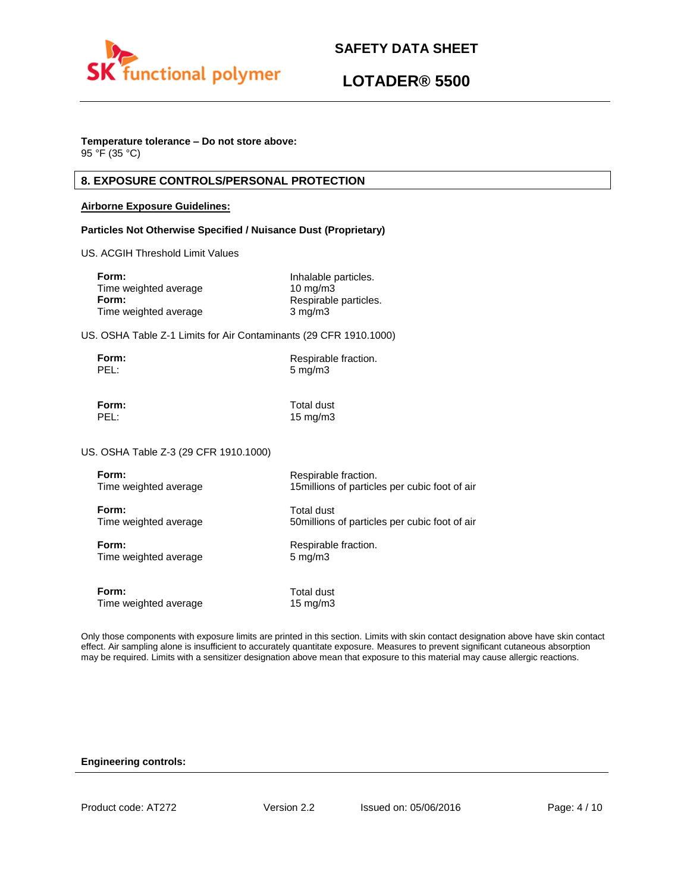



# **Temperature tolerance – Do not store above:**

95 °F (35 °C)

## **8. EXPOSURE CONTROLS/PERSONAL PROTECTION**

### **Airborne Exposure Guidelines:**

### **Particles Not Otherwise Specified / Nuisance Dust (Proprietary)**

US. ACGIH Threshold Limit Values

| Form:                 | Inhalable particles.  |
|-----------------------|-----------------------|
| Time weighted average | $10 \text{ mg/m}$     |
| Form:                 | Respirable particles. |
| Time weighted average | $3 \text{ mg/m}$      |

US. OSHA Table Z-1 Limits for Air Contaminants (29 CFR 1910.1000)

| Form: | Respirable fraction. |
|-------|----------------------|
| PEL:  | $5 \text{ mg/m}$     |

**Form:** Total dust PEL: 15 mg/m3

US. OSHA Table Z-3 (29 CFR 1910.1000)

| Form:                 | Respirable fraction.                           |
|-----------------------|------------------------------------------------|
| Time weighted average | 15 millions of particles per cubic foot of air |
| Form:                 | Total dust                                     |
| Time weighted average | 50 millions of particles per cubic foot of air |
| Form:                 | Respirable fraction.                           |
| Time weighted average | $5 \text{ mg/m}$                               |
| Form:                 | Total dust                                     |
| Time weighted average | 15 mg/m $3$                                    |

Only those components with exposure limits are printed in this section. Limits with skin contact designation above have skin contact effect. Air sampling alone is insufficient to accurately quantitate exposure. Measures to prevent significant cutaneous absorption may be required. Limits with a sensitizer designation above mean that exposure to this material may cause allergic reactions.

### **Engineering controls:**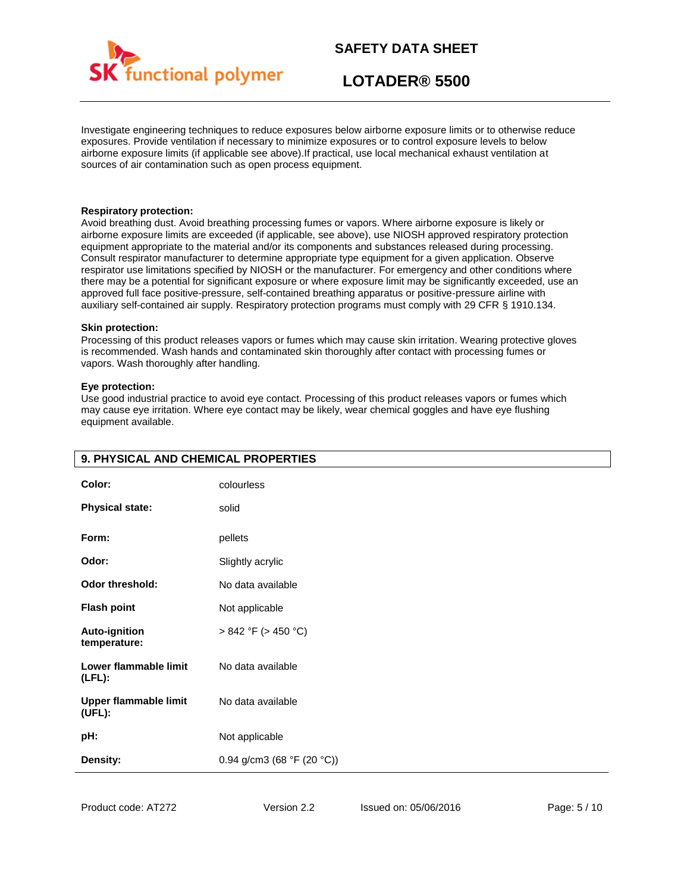

# **LOTADER® 5500**

Investigate engineering techniques to reduce exposures below airborne exposure limits or to otherwise reduce exposures. Provide ventilation if necessary to minimize exposures or to control exposure levels to below airborne exposure limits (if applicable see above).If practical, use local mechanical exhaust ventilation at sources of air contamination such as open process equipment.

### **Respiratory protection:**

Avoid breathing dust. Avoid breathing processing fumes or vapors. Where airborne exposure is likely or airborne exposure limits are exceeded (if applicable, see above), use NIOSH approved respiratory protection equipment appropriate to the material and/or its components and substances released during processing. Consult respirator manufacturer to determine appropriate type equipment for a given application. Observe respirator use limitations specified by NIOSH or the manufacturer. For emergency and other conditions where there may be a potential for significant exposure or where exposure limit may be significantly exceeded, use an approved full face positive-pressure, self-contained breathing apparatus or positive-pressure airline with auxiliary self-contained air supply. Respiratory protection programs must comply with 29 CFR § 1910.134.

#### **Skin protection:**

Processing of this product releases vapors or fumes which may cause skin irritation. Wearing protective gloves is recommended. Wash hands and contaminated skin thoroughly after contact with processing fumes or vapors. Wash thoroughly after handling.

### **Eye protection:**

Use good industrial practice to avoid eye contact. Processing of this product releases vapors or fumes which may cause eye irritation. Where eye contact may be likely, wear chemical goggles and have eye flushing equipment available.

| Color:                             | colourless                 |
|------------------------------------|----------------------------|
| <b>Physical state:</b>             | solid                      |
| Form:                              | pellets                    |
| Odor:                              | Slightly acrylic           |
| <b>Odor threshold:</b>             | No data available          |
| <b>Flash point</b>                 | Not applicable             |
| Auto-ignition<br>temperature:      | $> 842$ °F ( $> 450$ °C)   |
| Lower flammable limit<br>$(LFL)$ : | No data available          |
| Upper flammable limit<br>(UFL):    | No data available          |
| pH:                                | Not applicable             |
| Density:                           | 0.94 g/cm3 (68 °F (20 °C)) |

## **9. PHYSICAL AND CHEMICAL PROPERTIES**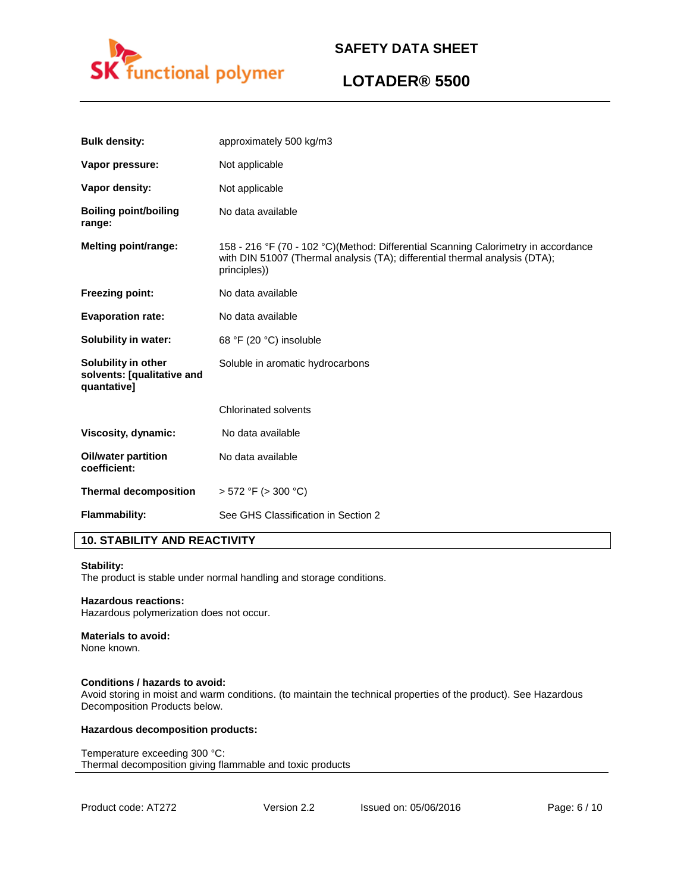

# **LOTADER® 5500**

| <b>Bulk density:</b>                                             | approximately 500 kg/m3                                                                                                                                                           |
|------------------------------------------------------------------|-----------------------------------------------------------------------------------------------------------------------------------------------------------------------------------|
| Vapor pressure:                                                  | Not applicable                                                                                                                                                                    |
| Vapor density:                                                   | Not applicable                                                                                                                                                                    |
| <b>Boiling point/boiling</b><br>range:                           | No data available                                                                                                                                                                 |
| <b>Melting point/range:</b>                                      | 158 - 216 °F (70 - 102 °C)(Method: Differential Scanning Calorimetry in accordance<br>with DIN 51007 (Thermal analysis (TA); differential thermal analysis (DTA);<br>principles)) |
| <b>Freezing point:</b>                                           | No data available                                                                                                                                                                 |
| <b>Evaporation rate:</b>                                         | No data available                                                                                                                                                                 |
| Solubility in water:                                             | 68 °F (20 °C) insoluble                                                                                                                                                           |
| Solubility in other<br>solvents: [qualitative and<br>quantative] | Soluble in aromatic hydrocarbons                                                                                                                                                  |
|                                                                  | <b>Chlorinated solvents</b>                                                                                                                                                       |
| Viscosity, dynamic:                                              | No data available                                                                                                                                                                 |
| <b>Oil/water partition</b><br>coefficient:                       | No data available                                                                                                                                                                 |
| <b>Thermal decomposition</b>                                     | $> 572$ °F ( $> 300$ °C)                                                                                                                                                          |
| Flammability:                                                    | See GHS Classification in Section 2                                                                                                                                               |

# **10. STABILITY AND REACTIVITY**

#### **Stability:**

The product is stable under normal handling and storage conditions.

### **Hazardous reactions:**

Hazardous polymerization does not occur.

## **Materials to avoid:**

None known.

### **Conditions / hazards to avoid:**

Avoid storing in moist and warm conditions. (to maintain the technical properties of the product). See Hazardous Decomposition Products below.

### **Hazardous decomposition products:**

Temperature exceeding 300 °C: Thermal decomposition giving flammable and toxic products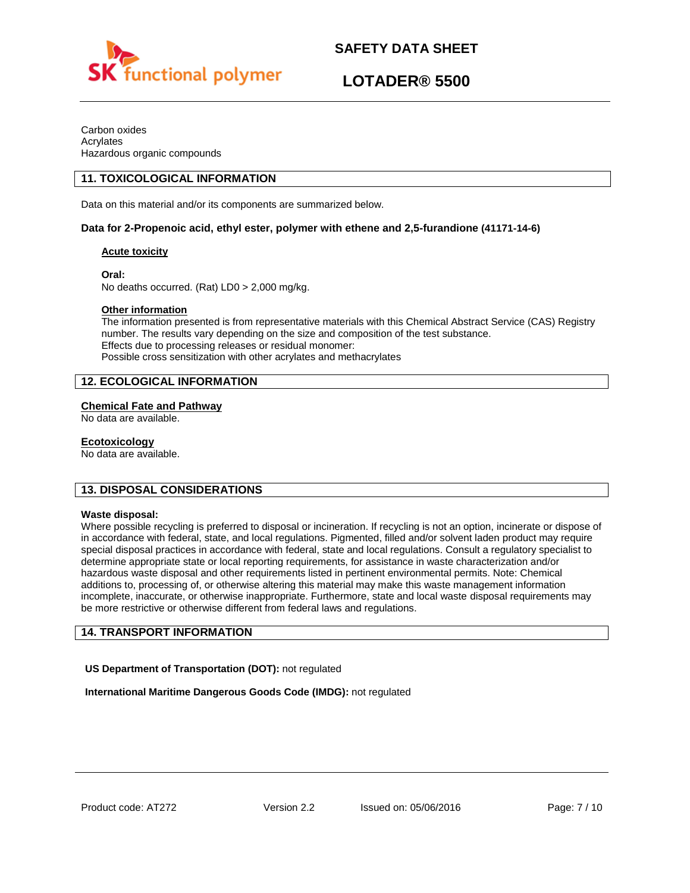



Carbon oxides Acrylates Hazardous organic compounds

## **11. TOXICOLOGICAL INFORMATION**

Data on this material and/or its components are summarized below.

### **Data for 2-Propenoic acid, ethyl ester, polymer with ethene and 2,5-furandione (41171-14-6)**

### **Acute toxicity**

**Oral:**

No deaths occurred. (Rat) LD0 > 2,000 mg/kg.

### **Other information**

The information presented is from representative materials with this Chemical Abstract Service (CAS) Registry number. The results vary depending on the size and composition of the test substance. Effects due to processing releases or residual monomer: Possible cross sensitization with other acrylates and methacrylates

## **12. ECOLOGICAL INFORMATION**

### **Chemical Fate and Pathway**

No data are available.

## **Ecotoxicology**

No data are available.

## **13. DISPOSAL CONSIDERATIONS**

### **Waste disposal:**

Where possible recycling is preferred to disposal or incineration. If recycling is not an option, incinerate or dispose of in accordance with federal, state, and local regulations. Pigmented, filled and/or solvent laden product may require special disposal practices in accordance with federal, state and local regulations. Consult a regulatory specialist to determine appropriate state or local reporting requirements, for assistance in waste characterization and/or hazardous waste disposal and other requirements listed in pertinent environmental permits. Note: Chemical additions to, processing of, or otherwise altering this material may make this waste management information incomplete, inaccurate, or otherwise inappropriate. Furthermore, state and local waste disposal requirements may be more restrictive or otherwise different from federal laws and regulations.

## **14. TRANSPORT INFORMATION**

**US Department of Transportation (DOT):** not regulated

**International Maritime Dangerous Goods Code (IMDG):** not regulated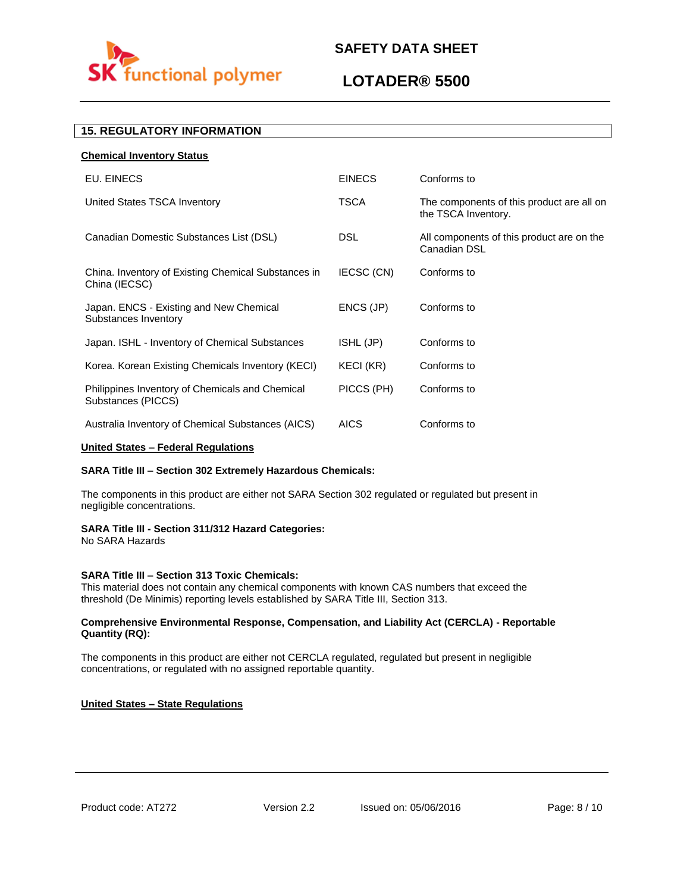

# **LOTADER® 5500**

# **15. REGULATORY INFORMATION**

| <b>Chemical Inventory Status</b>                                      |                  |                                                                  |
|-----------------------------------------------------------------------|------------------|------------------------------------------------------------------|
| EU. EINECS                                                            | <b>EINECS</b>    | Conforms to                                                      |
| United States TSCA Inventory                                          | <b>TSCA</b>      | The components of this product are all on<br>the TSCA Inventory. |
| Canadian Domestic Substances List (DSL)                               | <b>DSL</b>       | All components of this product are on the<br>Canadian DSL        |
| China. Inventory of Existing Chemical Substances in<br>China (IECSC)  | IECSC (CN)       | Conforms to                                                      |
| Japan. ENCS - Existing and New Chemical<br>Substances Inventory       | ENCS (JP)        | Conforms to                                                      |
| Japan. ISHL - Inventory of Chemical Substances                        | ISHL (JP)        | Conforms to                                                      |
| Korea. Korean Existing Chemicals Inventory (KECI)                     | <b>KECI (KR)</b> | Conforms to                                                      |
| Philippines Inventory of Chemicals and Chemical<br>Substances (PICCS) | PICCS (PH)       | Conforms to                                                      |
| Australia Inventory of Chemical Substances (AICS)                     | <b>AICS</b>      | Conforms to                                                      |

### **United States – Federal Regulations**

### **SARA Title III – Section 302 Extremely Hazardous Chemicals:**

The components in this product are either not SARA Section 302 regulated or regulated but present in negligible concentrations.

### **SARA Title III - Section 311/312 Hazard Categories:**

No SARA Hazards

### **SARA Title III – Section 313 Toxic Chemicals:**

This material does not contain any chemical components with known CAS numbers that exceed the threshold (De Minimis) reporting levels established by SARA Title III, Section 313.

### **Comprehensive Environmental Response, Compensation, and Liability Act (CERCLA) - Reportable Quantity (RQ):**

The components in this product are either not CERCLA regulated, regulated but present in negligible concentrations, or regulated with no assigned reportable quantity.

### **United States – State Regulations**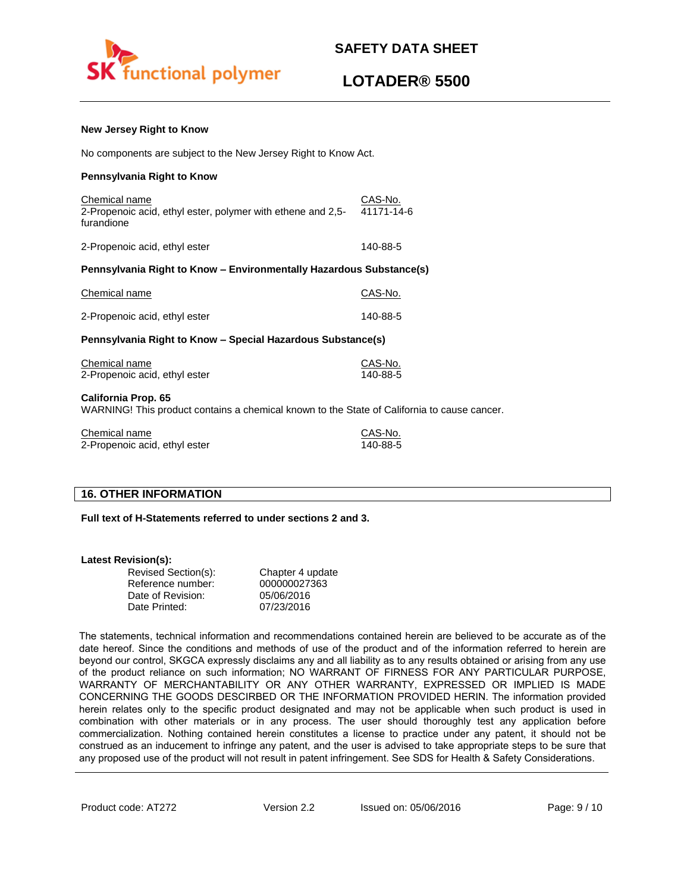

cause cancer.

### **New Jersey Right to Know**

No components are subject to the New Jersey Right to Know Act.

### **Pennsylvania Right to Know**

| Chemical name<br>2-Propenoic acid, ethyl ester, polymer with ethene and 2,5-<br>furandione           | CAS-No.<br>41171-14-6 |  |
|------------------------------------------------------------------------------------------------------|-----------------------|--|
| 2-Propenoic acid, ethyl ester                                                                        | 140-88-5              |  |
| Pennsylvania Right to Know - Environmentally Hazardous Substance(s)                                  |                       |  |
| Chemical name                                                                                        | CAS-No.               |  |
| 2-Propenoic acid, ethyl ester                                                                        | 140-88-5              |  |
| Pennsylvania Right to Know - Special Hazardous Substance(s)                                          |                       |  |
| Chemical name<br>2-Propenoic acid, ethyl ester                                                       | CAS-No.<br>140-88-5   |  |
| California Prop. 65<br>WARNING! This product contains a chemical known to the State of California to |                       |  |

Chemical name Chemical name CAS-No. 2-Propenoic acid, ethyl ester 140-88-5

## **16. OTHER INFORMATION**

**Full text of H-Statements referred to under sections 2 and 3.**

### **Latest Revision(s):**

| Revised Section(s): | Chapter 4 update |
|---------------------|------------------|
| Reference number:   | 000000027363     |
| Date of Revision:   | 05/06/2016       |
| Date Printed:       | 07/23/2016       |

The statements, technical information and recommendations contained herein are believed to be accurate as of the date hereof. Since the conditions and methods of use of the product and of the information referred to herein are beyond our control, SKGCA expressly disclaims any and all liability as to any results obtained or arising from any use of the product reliance on such information; NO WARRANT OF FIRNESS FOR ANY PARTICULAR PURPOSE, WARRANTY OF MERCHANTABILITY OR ANY OTHER WARRANTY, EXPRESSED OR IMPLIED IS MADE CONCERNING THE GOODS DESCIRBED OR THE INFORMATION PROVIDED HERIN. The information provided herein relates only to the specific product designated and may not be applicable when such product is used in combination with other materials or in any process. The user should thoroughly test any application before commercialization. Nothing contained herein constitutes a license to practice under any patent, it should not be construed as an inducement to infringe any patent, and the user is advised to take appropriate steps to be sure that any proposed use of the product will not result in patent infringement. See SDS for Health & Safety Considerations.